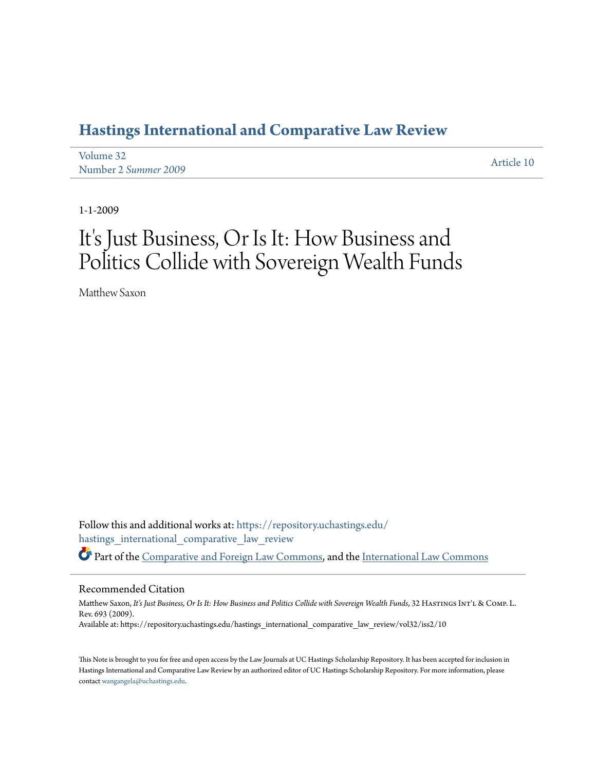# **[Hastings International and Comparative Law Review](https://repository.uchastings.edu/hastings_international_comparative_law_review?utm_source=repository.uchastings.edu%2Fhastings_international_comparative_law_review%2Fvol32%2Fiss2%2F10&utm_medium=PDF&utm_campaign=PDFCoverPages)**

[Volume 32](https://repository.uchastings.edu/hastings_international_comparative_law_review/vol32?utm_source=repository.uchastings.edu%2Fhastings_international_comparative_law_review%2Fvol32%2Fiss2%2F10&utm_medium=PDF&utm_campaign=PDFCoverPages) Number 2 *[Summer 2009](https://repository.uchastings.edu/hastings_international_comparative_law_review/vol32/iss2?utm_source=repository.uchastings.edu%2Fhastings_international_comparative_law_review%2Fvol32%2Fiss2%2F10&utm_medium=PDF&utm_campaign=PDFCoverPages)* [Article 10](https://repository.uchastings.edu/hastings_international_comparative_law_review/vol32/iss2/10?utm_source=repository.uchastings.edu%2Fhastings_international_comparative_law_review%2Fvol32%2Fiss2%2F10&utm_medium=PDF&utm_campaign=PDFCoverPages)

1-1-2009

# It's Just Business, Or Is It: How Business and Politics Collide with Sovereign Wealth Funds

Matthew Saxon

Follow this and additional works at: [https://repository.uchastings.edu/](https://repository.uchastings.edu/hastings_international_comparative_law_review?utm_source=repository.uchastings.edu%2Fhastings_international_comparative_law_review%2Fvol32%2Fiss2%2F10&utm_medium=PDF&utm_campaign=PDFCoverPages) [hastings\\_international\\_comparative\\_law\\_review](https://repository.uchastings.edu/hastings_international_comparative_law_review?utm_source=repository.uchastings.edu%2Fhastings_international_comparative_law_review%2Fvol32%2Fiss2%2F10&utm_medium=PDF&utm_campaign=PDFCoverPages) Part of the [Comparative and Foreign Law Commons](http://network.bepress.com/hgg/discipline/836?utm_source=repository.uchastings.edu%2Fhastings_international_comparative_law_review%2Fvol32%2Fiss2%2F10&utm_medium=PDF&utm_campaign=PDFCoverPages), and the [International Law Commons](http://network.bepress.com/hgg/discipline/609?utm_source=repository.uchastings.edu%2Fhastings_international_comparative_law_review%2Fvol32%2Fiss2%2F10&utm_medium=PDF&utm_campaign=PDFCoverPages)

### Recommended Citation

Matthew Saxon, It's Just Business, Or Is It: How Business and Politics Collide with Sovereign Wealth Funds, 32 HASTINGS INT'L & COMP. L. Rev. 693 (2009). Available at: https://repository.uchastings.edu/hastings\_international\_comparative\_law\_review/vol32/iss2/10

This Note is brought to you for free and open access by the Law Journals at UC Hastings Scholarship Repository. It has been accepted for inclusion in Hastings International and Comparative Law Review by an authorized editor of UC Hastings Scholarship Repository. For more information, please contact [wangangela@uchastings.edu](mailto:wangangela@uchastings.edu).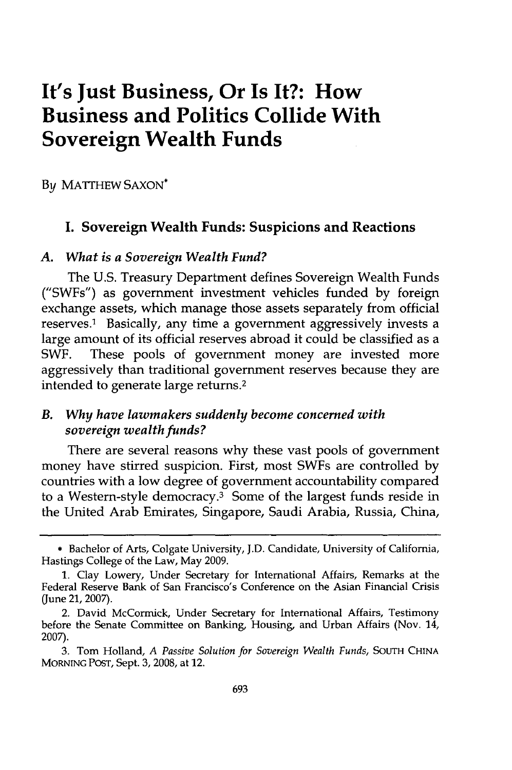# **It's Just Business, Or Is It?: How Business and Politics Collide With Sovereign Wealth Funds**

**By** MATTHEW **SAXON\***

# **I. Sovereign Wealth Funds: Suspicions and Reactions**

#### *A. What is a Sovereign Wealth Fund?*

The **U.S.** Treasury Department defines Sovereign Wealth Funds ("SWFs") as government investment vehicles funded **by** foreign exchange assets, which manage those assets separately from official reserves.1 Basically, any time a government aggressively invests a large amount of its official reserves abroad it could be classified as a SWF. These pools of government money are invested more aggressively than traditional government reserves because they are intended to generate large returns.2

### *B. Why have lawmakers suddenly become concerned with sovereign wealth funds?*

There are several reasons why these vast pools of government money have stirred suspicion. First, most SWFs are controlled **by** countries with a low degree of government accountability compared to a Western-style democracy. $3$  Some of the largest funds reside in the United Arab Emirates, Singapore, Saudi Arabia, Russia, China,

**<sup>\*</sup>** Bachelor of Arts, Colgate University, **J.D.** Candidate, University of California, Hastings College of the Law, May **2009.**

**<sup>1.</sup>** Clay Lowery, Under Secretary for International Affairs, Remarks at the Federal Reserve Bank of San Francisco's Conference on the Asian Financial Crisis (June 21, 2007).

<sup>2.</sup> David McCormick, Under Secretary for International Affairs, Testimony before the Senate Committee on Banking, Housing, and Urban Affairs (Nov. 14, **2007).**

**<sup>3.</sup>** Tom Holland, *A Passive Solution for Sovereign Wealth Funds,* **SOUTH CHINA MORNING POST,** Sept. **3, 2008,** at 12.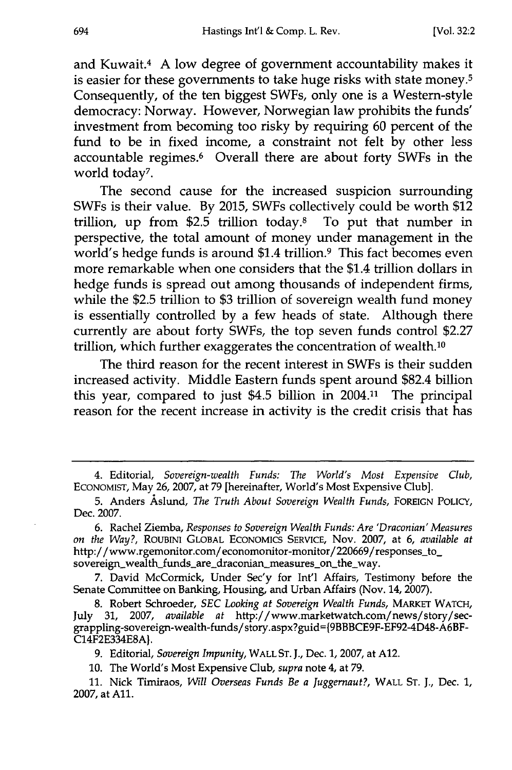and Kuwait.<sup>4</sup> A low degree of government accountability makes it is easier for these governments to take huge risks with state money.<sup>5</sup> Consequently, of the ten biggest SWFs, only one is a Western-style democracy: Norway. However, Norwegian law prohibits the funds' investment from becoming too risky by requiring 60 percent of the fund to be in fixed income, a constraint not felt by other less accountable regimes.6 Overall there are about forty SWFs in the world today7 .

The second cause for the increased suspicion surrounding SWFs is their value. By 2015, SWFs collectively could be worth \$12 trillion, up from \$2.5 trillion today.8 To put that number in perspective, the total amount of money under management in the world's hedge funds is around \$1.4 trillion.<sup>9</sup> This fact becomes even more remarkable when one considers that the \$1.4 trillion dollars in hedge funds is spread out among thousands of independent firms, while the \$2.5 trillion to \$3 trillion of sovereign wealth fund money is essentially controlled by a few heads of state. Although there currently are about forty SWFs, the top seven funds control \$2.27 trillion, which further exaggerates the concentration of wealth.10

The third reason for the recent interest in SWFs is their sudden increased activity. Middle Eastern funds spent around \$82.4 billion this year, compared to just \$4.5 billion in 2004.11 The principal reason for the recent increase in activity is the credit crisis that has

**7.** David McCormick, Under Sec'y for Int'l Affairs, Testimony before the Senate Committee on Banking, Housing, and Urban Affairs (Nov. 14, **2007).**

**8.** Robert Schroeder, *SEC Looking at Sovereign Wealth Funds,* **MARKET WATCH,** July **31, 2007,** *available at* http://www.marketwatch.com/news/story/secgrappling-sovereign-wealth-funds/story.aspx?guid={9BBBCE9F-EF92-4D48-A6BF-**C14F2E334E8A}.**

**9.** Editorial, *Sovereign Impunity,* **WALL** *ST.* **J.,** Dec. **1, 2007,** at **A12.**

**10.** The World's Most Expensive Club, *supra* note 4, at **79.**

**11.** Nick Timiraos, *Will Overseas Funds Be a Juggernaut?,* WALL **ST. J.,** Dec. **1, 2007,** at **All.**

<sup>4.</sup> Editorial, *Sovereign-wealth Funds: The World's Most Expensive Club,* ECONOMIST, May 26, 2007, at 79 [hereinafter, World's Most Expensive Club].

**<sup>5.</sup>** Anders Aslund, *The Truth About Sovereign Wealth Funds,* **FOREIGN POLICY,** Dec. **2007.**

**<sup>6.</sup>** Rachel Ziemba, *Responses to Sovereign Wealth Funds: Are 'Draconian' Measures on the Way?,* ROuBINI GLOBAL **ECONOMICS** SERVICE, Nov. **2007,** at **6,** *available at* http://www.rgemonitor.com/economonitor-monitor/220669/responses to\_ sovereign\_wealth\_funds\_are\_draconian\_measures\_on\_the\_way.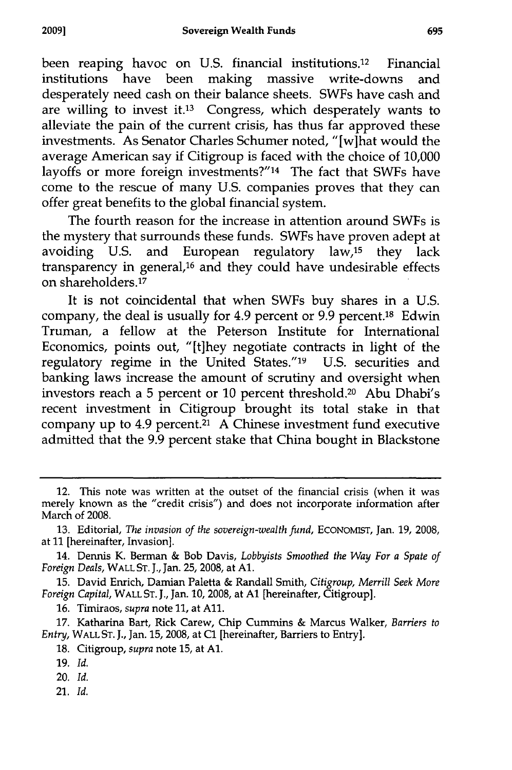been reaping havoc on U.S. financial institutions.12 Financial institutions have been making massive write-downs and desperately need cash on their balance sheets. SWFs have cash and are willing to invest it.13 Congress, which desperately wants to alleviate the pain of the current crisis, has thus far approved these investments. As Senator Charles Schumer noted, "[w]hat would the average American say if Citigroup is faced with the choice of 10,000 layoffs or more foreign investments?"<sup>14</sup> The fact that SWFs have come to the rescue of many U.S. companies proves that they can offer great benefits to the global financial system.

The fourth reason for the increase in attention around SWFs is the mystery that surrounds these funds. SWFs have proven adept at avoiding U.S. and European regulatory law,<sup>15</sup> they lack transparency in general,16 and they could have undesirable effects on shareholders.<sup>17</sup>

It is not coincidental that when SWFs buy shares in a U.S. company, the deal is usually for 4.9 percent or 9.9 percent. 18 Edwin Truman, a fellow at the Peterson Institute for International Economics, points out, "[tihey negotiate contracts in light of the regulatory regime in the United States."19 U.S. securities and banking laws increase the amount of scrutiny and oversight when investors reach a 5 percent or 10 percent threshold.<sup>20</sup> Abu Dhabi's recent investment in Citigroup brought its total stake in that company up to 4.9 percent. $\overline{a}$  A Chinese investment fund executive admitted that the 9.9 percent stake that China bought in Blackstone

16. Timiraos, *supra* note **11,** at All.

17. Katharina Bart, Rick Carew, Chip Cummins & Marcus Walker, *Barriers to Entry,* WALL ST. J., Jan. 15, 2008, at **Cl** [hereinafter, Barriers to Entry].

18. Citigroup, *supra* note 15, at **Al.**

- 20. *Id.*
- 21. **Id.**

<sup>12.</sup> This note was written at the outset of the financial crisis (when it was merely known as the "credit crisis") and does not incorporate information after March of 2008.

<sup>13.</sup> Editorial, *The invasion of the sovereign-wealth fund,* ECONOMIST, Jan. 19, 2008, at 11 [hereinafter, Invasion].

<sup>14.</sup> Dennis K. Berman & Bob Davis, *Lobbyists Smoothed the Way For a Spate of Foreign Deals,* WALL ST. J., Jan. 25, 2008, at **Al.**

<sup>15.</sup> David Enrich, Damian Paletta & Randall Smith, *Citigroup, Merrill Seek More Foreign Capital,* WALL **ST. J.,** Jan. **10, 2008,** at **Al** [hereinafter, Citigroup].

<sup>19.</sup> *Id.*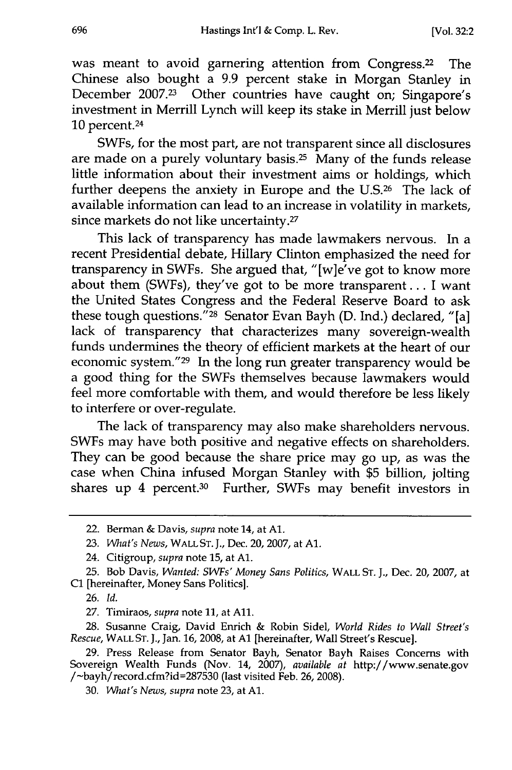was meant to avoid garnering attention from Congress.<sup>22</sup> The Chinese also bought a 9.9 percent stake in Morgan Stanley in December 2007.<sup>23</sup> Other countries have caught on; Singapore's investment in Merrill Lynch will keep its stake in Merrill just below 10 percent. <sup>24</sup>

SWFs, for the most part, are not transparent since all disclosures are made on a purely voluntary basis.<sup>25</sup> Many of the funds release little information about their investment aims or holdings, which further deepens the anxiety in Europe and the U.S.<sup>26</sup> The lack of available information can lead to an increase in volatility in markets, since markets do not like uncertainty.<sup>27</sup>

This lack of transparency has made lawmakers nervous. In a recent Presidential debate, Hillary Clinton emphasized the need for transparency in SWFs. She argued that, "[w]e've got to know more about them (SWFs), they've got to be more transparent... I want the United States Congress and the Federal Reserve Board to ask these tough questions." 28 Senator Evan Bayh (D. Ind.) declared, "[a] lack of transparency that characterizes many sovereign-wealth funds undermines the theory of efficient markets at the heart of our economic system."<sup>29</sup> In the long run greater transparency would be a good thing for the SWFs themselves because lawmakers would feel more comfortable with them, and would therefore be less likely to interfere or over-regulate.

The lack of transparency may also make shareholders nervous. SWFs may have both positive and negative effects on shareholders. They can be good because the share price may go up, as was the case when China infused Morgan Stanley with \$5 billion, jolting shares up 4 percent.<sup>30</sup> Further, SWFs may benefit investors in

27. Timiraos, *supra* note 11, at All.

28. Susanne Craig, David Enrich & Robin Sidel, *World Rides to Wall Street's Rescue,* WALL ST. J., Jan. 16, 2008, at **Al** [hereinafter, Wall Street's Rescue].

29. Press Release from Senator Bayh, Senator Bayh Raises Concerns with Sovereign Wealth Funds (Nov. 14, 2007), *available at* http://www.senate.gov /-bayh/record.cfm?id=287530 (last visited Feb. 26, 2008).

<sup>22.</sup> Berman & Davis, *supra* note 14, at **Al.**

<sup>23.</sup> *What's News,* WALL ST. **J.,** Dec. 20, 2007, at **Al.**

<sup>24.</sup> Citigroup, *supra* note 15, at **Al.**

<sup>25.</sup> Bob Davis, *Wanted: SWFs' Money Sans Politics,* WALL ST. **J.,** Dec. 20, 2007, at **C1** [hereinafter, Money Sans Politics].

<sup>26.</sup> *Id.*

<sup>30.</sup> *What's News, supra* note 23, at **Al.**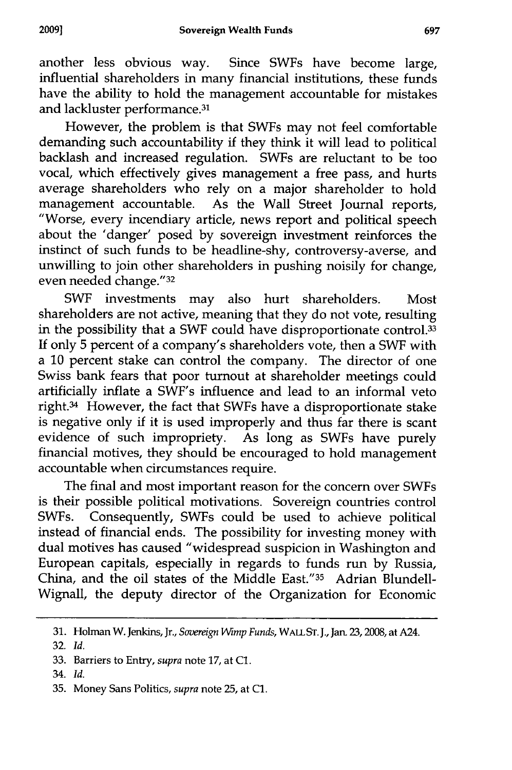another less obvious way. Since SWFs have become large, influential shareholders in many financial institutions, these funds have the ability to hold the management accountable for mistakes and lackluster performance.<sup>31</sup>

However, the problem is that SWFs may not feel comfortable demanding such accountability if they think it will lead to political backlash and increased regulation. SWFs are reluctant to be too vocal, which effectively gives management a free pass, and hurts average shareholders who rely on a major shareholder to hold management accountable. As the Wall Street Journal reports, "Worse, every incendiary article, news report and political speech about the 'danger' posed by sovereign investment reinforces the instinct of such funds to be headline-shy, controversy-averse, and unwilling to join other shareholders in pushing noisily for change, even needed change."<sup>32</sup>

SWF investments may also hurt shareholders. Most shareholders are not active, meaning that they do not vote, resulting in the possibility that a SWF could have disproportionate control.<sup>33</sup> If only 5 percent of a company's shareholders vote, then a SWF with a 10 percent stake can control the company. The director of one Swiss bank fears that poor turnout at shareholder meetings could artificially inflate a SWF's influence and lead to an informal veto right.<sup>34</sup> However, the fact that SWFs have a disproportionate stake is negative only if it is used improperly and thus far there is scant evidence of such impropriety. As long as SWFs have purely financial motives, they should be encouraged to hold management accountable when circumstances require.

The final and most important reason for the concern over SWFs is their possible political motivations. Sovereign countries control SWFs. Consequently, SWFs could be used to achieve political instead of financial ends. The possibility for investing money with dual motives has caused "widespread suspicion in Washington and European capitals, especially in regards to funds run by Russia China, and the oil states of the Middle East."<sup>35</sup> Adrian Blundell-Wignall, the deputy director of the Organization for Economic

<sup>31.</sup> Holman W. Jenkins, Jr., *Sovereign Wimp Funds,* WALL ST. **J.,** Jan. 23,2008, at A24.

<sup>32.</sup> *Id.*

<sup>33.</sup> Barriers to Entry, *supra* note 17, at **C1.**

<sup>34.</sup> *Id.*

<sup>35.</sup> Money Sans Politics, *supra* note 25, at **C1.**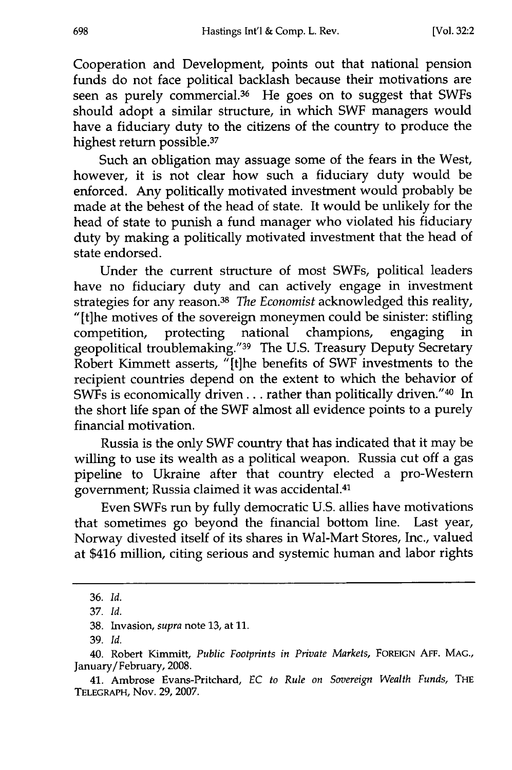Cooperation and Development, points out that national pension funds do not face political backlash because their motivations are seen as purely commercial.<sup>36</sup> He goes on to suggest that SWFs should adopt a similar structure, in which SWF managers would have a fiduciary duty to the citizens of the country to produce the highest return possible.<sup>37</sup>

Such an obligation may assuage some of the fears in the West, however, it is not clear how such a fiduciary duty would be enforced. Any politically motivated investment would probably be made at the behest of the head of state. It would be unlikely for the head of state to punish a fund manager who violated his fiduciary duty by making a politically motivated investment that the head of state endorsed.

Under the current structure of most SWFs, political leaders have no fiduciary duty and can actively engage in investment strategies for any reason. <sup>38</sup>*The Economist* acknowledged this reality, "[t]he motives of the sovereign moneymen could be sinister: stifling competition, protecting national champions, engaging in competition, protecting national champions, engaging in geopolitical troublemaking."39 The U.S. Treasury Deputy Secretary Robert Kimmett asserts, "[t]he benefits of SWF investments to the recipient countries depend on the extent to which the behavior of SWFs is economically driven.., rather than politically driven."40 In the short life span of the SWF almost all evidence points to a purely financial motivation.

Russia is the only SWF country that has indicated that it may be willing to use its wealth as a political weapon. Russia cut off a gas pipeline to Ukraine after that country elected a pro-Western government; Russia claimed it was accidental. <sup>41</sup>

Even SWFs run by fully democratic U.S. allies have motivations that sometimes go beyond the financial bottom line. Last year, Norway divested itself of its shares in Wal-Mart Stores, Inc., valued at \$416 million, citing serious and systemic human and labor rights

<sup>36.</sup> *Id.*

<sup>37.</sup> *Id.*

<sup>38.</sup> Invasion, *supra* note 13, at 11.

<sup>39.</sup> *Id.*

<sup>40.</sup> Robert Kimmitt, *Public Footprints in Private Markets,* **FOREIGN AFF. MAG.,** January/February, 2008.

<sup>41.</sup> Ambrose Evans-Pritchard, *EC to Rule on Sovereign Wealth Funds,* **THE** TELEGRAPH, Nov. 29, 2007.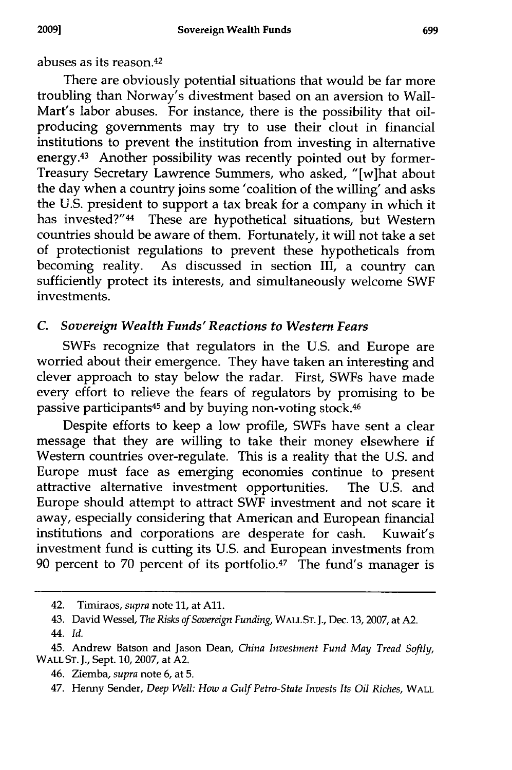abuses as its reason. <sup>42</sup>

There are obviously potential situations that would be far more troubling than Norway's divestment based on an aversion to Wall-Mart's labor abuses. For instance, there is the possibility that oilproducing governments may try to use their clout in financial institutions to prevent the institution from investing in alternative energy.<sup>43</sup> Another possibility was recently pointed out by former-Treasury Secretary Lawrence Summers, who asked, "[w]hat about the day when a country joins some 'coalition of the willing' and asks the U.S. president to support a tax break for a company in which it has invested?"<sup>44</sup> These are hypothetical situations, but Western countries should be aware of them. Fortunately, it will not take a set of protectionist regulations to prevent these hypotheticals from becoming reality. As discussed in section III, a country can sufficiently protect its interests, and simultaneously welcome SWF investments.

# *C. Sovereign Wealth Funds' Reactions to Western Fears*

SWFs recognize that regulators in the U.S. and Europe are worried about their emergence. They have taken an interesting and clever approach to stay below the radar. First, SWFs have made every effort to relieve the fears of regulators by promising to be passive participants45 and **by** buying non-voting stock.<sup>46</sup>

Despite efforts to keep a low profile, SWFs have sent a clear message that they are willing to take their money elsewhere if Western countries over-regulate. This is a reality that the U.S. and Europe must face as emerging economies continue to present attractive alternative investment opportunities. The **U.S.** and Europe should attempt to attract SWF investment and not scare it away, especially considering that American and European financial institutions and corporations are desperate for cash. Kuwait's investment fund is cutting its U.S. and European investments from 90 percent to 70 percent of its portfolio.<sup>47</sup> The fund's manager is

44. *Id.*

<sup>42.</sup> Timiraos, *supra* note 11, at All.

<sup>43.</sup> David Wessel, *The Risks of Sovereign Funding,* WALL **ST. J.,** Dec. **13,** 2007, at A2.

<sup>45.</sup> Andrew Batson and Jason Dean, *China Investment Fund May Tread Softly,* WALL **ST. J.,** Sept. 10, 2007, at A2.

<sup>46.</sup> Ziemba, *supra* note 6, at 5.

<sup>47.</sup> Henny Sender, *Deep Well: How a Gulf Petro-State Invests Its Oil Riches,* WALL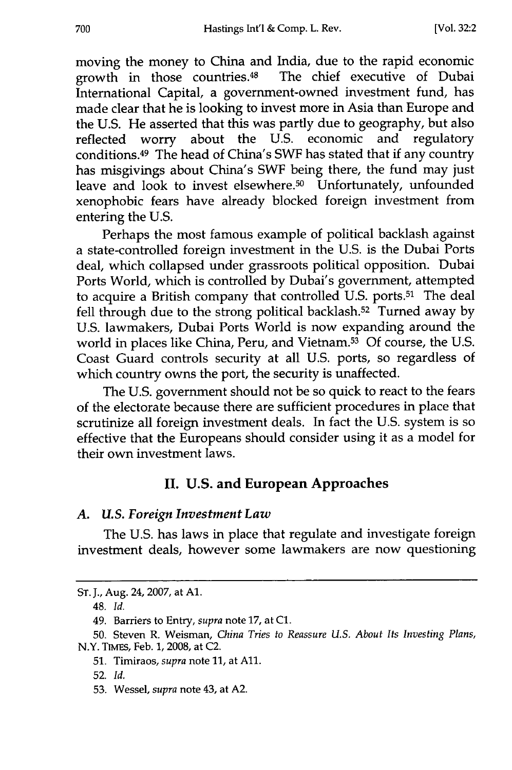moving the money to China and India, due to the rapid economic growth in those countries.48 The chief executive of Dubai International Capital, a government-owned investment fund, has made clear that he is looking to invest more in Asia than Europe and the U.S. He asserted that this was partly due to geography, but also reflected worry about the U.S. economic and regulatory conditions.49 The head of China's SWF has stated that if any country has misgivings about China's SWF being there, the fund may just leave and look to invest elsewhere.<sup>50</sup> Unfortunately, unfounded xenophobic fears have already blocked foreign investment from entering the U.S.

Perhaps the most famous example of political backlash against a state-controlled foreign investment in the U.S. is the Dubai Ports deal, which collapsed under grassroots political opposition. Dubai Ports World, which is controlled by Dubai's government, attempted to acquire a British company that controlled U.S. ports.<sup>51</sup> The deal fell through due to the strong political backlash.<sup>52</sup> Turned away by U.S. lawmakers, Dubai Ports World is now expanding around the world in places like China, Peru, and Vietnam.53 Of course, the U.S. Coast Guard controls security at all U.S. ports, so regardless of which country owns the port, the security is unaffected.

The U.S. government should not be so quick to react to the fears of the electorate because there are sufficient procedures in place that scrutinize all foreign investment deals. In fact the U.S. system is so effective that the Europeans should consider using it as a model for their own investment laws.

# **II. U.S. and European Approaches**

#### *A. U.S. Foreign Investment Law*

The U.S. has laws in place that regulate and investigate foreign investment deals, however some lawmakers are now questioning

ST. J., Aug. 24, 2007, at **Al.**

<sup>48.</sup> *Id.*

<sup>49.</sup> Barriers to Entry, *supra* note 17, at **C1.**

<sup>50.</sup> Steven R. Weisman, *China Tries to Reassure U.S. About Its Investing Plans,* N.Y. TIMEs, Feb. 1, 2008, at C2.

<sup>51.</sup> Timiraos, *supra* note 11, at All.

<sup>52.</sup> *Id.*

<sup>53.</sup> Wessel, *supra* note 43, at A2.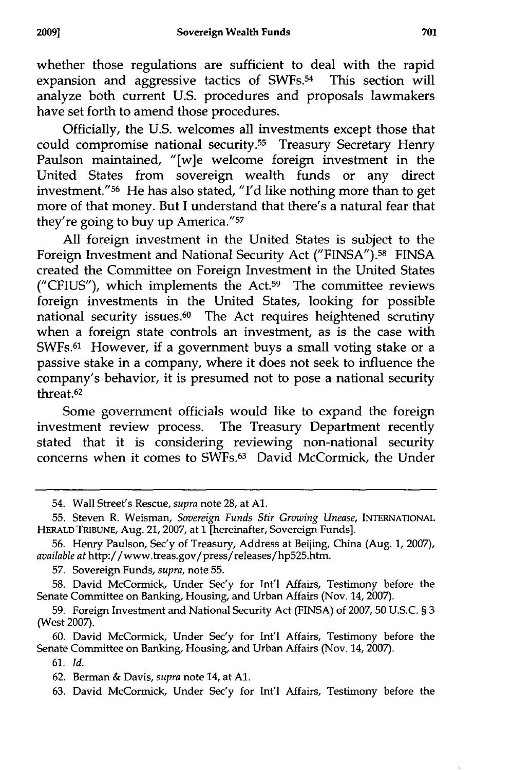whether those regulations are sufficient to deal with the rapid expansion and aggressive tactics of SWFs.<sup>54</sup> This section will analyze both current U.S. procedures and proposals lawmakers have set forth to amend those procedures.

Officially, the U.S. welcomes all investments except those that could compromise national security.55 Treasury Secretary Henry Paulson maintained, "[w]e welcome foreign investment in the United States from sovereign wealth funds or any direct investment." 56 He has also stated, "I'd like nothing more than to get more of that money. But I understand that there's a natural fear that they're going to buy up America."57

All foreign investment in the United States is subject to the Foreign Investment and National Security Act ("FINSA").58 FINSA created the Committee on Foreign Investment in the United States ("CFIUS"), which implements the Act.59 The committee reviews foreign investments in the United States, looking for possible national security issues.<sup>60</sup> The Act requires heightened scrutiny when a foreign state controls an investment, as is the case with SWFs.61 However, if a government buys a small voting stake or a passive stake in a company, where it does not seek to influence the company's behavior, it is presumed not to pose a national security threat.<sup>62</sup>

Some government officials would like to expand the foreign investment review process. The Treasury Department recently stated that it is considering reviewing non-national security concerns when it comes to **SWFs.63** David McCormick, the Under

**60.** David McCormick, Under Sec'y for Int'l Affairs, Testimony before the Senate Committee on Banking, Housing, and Urban Affairs (Nov. 14, **2007).**

<sup>54.</sup> Wall Street's Rescue, supra note 28, at **Al.**

**<sup>55.</sup>** Steven R. Weisman, *Sovereign Funds Stir Growing Unease,* **INTERNATIONAL** HERALD TRIBUNE, Aug. 21, **2007,** at **1** [hereinafter, Sovereign Funds].

**<sup>56.</sup>** Henry Paulson, Sec'y of Treasury, Address at Beijing, China (Aug. **1,** 2007), *available at* http://www.treas.gov/press/releases/hp525.htm.

**<sup>57.</sup>** Sovereign Funds, *supra,* note **55.**

**<sup>58.</sup>** David McCormick, Under Sec'y for Int'l Affairs, Testimony before the Senate Committee on Banking, Housing, and Urban Affairs (Nov. 14, 2007).

**<sup>59.</sup>** Foreign Investment and National Security Act **(FINSA)** of **2007, 50 U.S.C.** § **3** (West **2007).**

**<sup>61.</sup>** *Id.*

**<sup>62.</sup>** Berman **&** Davis, *supra* note 14, at **Al.**

**<sup>63.</sup>** David McCormick, Under Sec'y for Int'l Affairs, Testimony before the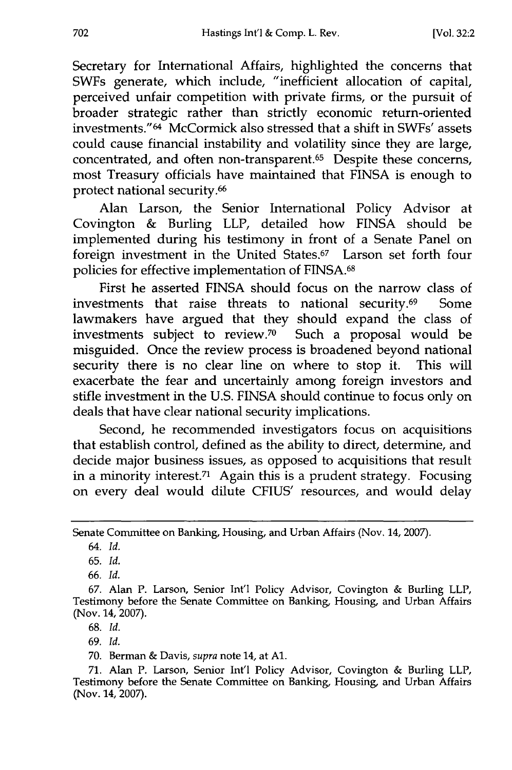Secretary for International Affairs, highlighted the concerns that SWFs generate, which include, "inefficient allocation of capital, perceived unfair competition with private firms, or the pursuit of broader strategic rather than strictly economic return-oriented investments." 64 McCormick also stressed that a shift in SWFs' assets could cause financial instability and volatility since they are large, concentrated, and often non-transparent.65 Despite these concerns, most Treasury officials have maintained that FINSA is enough to protect national security. <sup>66</sup>

Alan Larson, the Senior International Policy Advisor at Covington & Burling LLP, detailed how FINSA should be implemented during his testimony in front of a Senate Panel on foreign investment in the United States.<sup>67</sup> Larson set forth four policies for effective implementation of FINSA.<sup>68</sup>

First he asserted FINSA should focus on the narrow class of investments that raise threats to national security.69 Some lawmakers have argued that they should expand the class of investments subject to review.<sup>70</sup> Such a proposal would be misguided. Once the review process is broadened beyond national security there is no clear line on where to stop it. This will exacerbate the fear and uncertainly among foreign investors and stifle investment in the U.S. FINSA should continue to focus only on deals that have clear national security implications.

Second, he recommended investigators focus on acquisitions that establish control, defined as the ability to direct, determine, and decide major business issues, as opposed to acquisitions that result in a minority interest.71 Again this is a prudent strategy. Focusing on every deal would dilute CFIUS' resources, and would delay

65. *Id.*

68. *Id.*

69. *Id.*

70. Berman & Davis, *supra* note 14, at **Al.**

Senate Committee on Banking, Housing, and Urban Affairs (Nov. 14, 2007).

<sup>64.</sup> *Id.*

<sup>66.</sup> *Id.*

<sup>67.</sup> Alan P. Larson, Senior Int'l Policy Advisor, Covington & Burling LLP, Testimony before the Senate Committee on Banking, Housing, and Urban Affairs (Nov. 14, 2007).

<sup>71.</sup> Alan P. Larson, Senior Int'l Policy Advisor, Covington & Burling LLP, Testimony before the Senate Committee on Banking, Housing, and Urban Affairs (Nov. 14, 2007).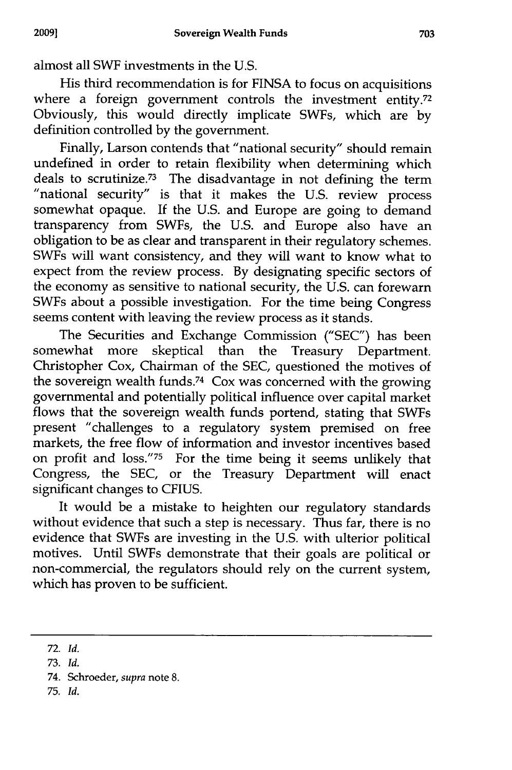almost all SWF investments in the U.S.

His third recommendation is for FINSA to focus on acquisitions where a foreign government controls the investment entity.<sup>72</sup> Obviously, this would directly implicate SWFs, which are by definition controlled by the government.

Finally, Larson contends that "national security" should remain undefined in order to retain flexibility when determining which deals to scrutinize.<sup>73</sup> The disadvantage in not defining the term "national security" is that it makes the U.S. review process somewhat opaque. If the U.S. and Europe are going to demand transparency from SWFs, the U.S. and Europe also have an obligation to be as clear and transparent in their regulatory schemes. SWFs will want consistency, and they will want to know what to expect from the review process. By designating specific sectors of the economy as sensitive to national security, the U.S. can forewarn SWFs about a possible investigation. For the time being Congress seems content with leaving the review process as it stands.

The Securities and Exchange Commission ("SEC") has been somewhat more skeptical than the Treasury Department. Christopher Cox, Chairman of the SEC, questioned the motives of the sovereign wealth funds.74 Cox was concerned with the growing governmental and potentially political influence over capital market flows that the sovereign wealth funds portend, stating that SWFs present "challenges to a regulatory system premised on free markets, the free flow of information and investor incentives based on profit and loss."75 For the time being it seems unlikely that Congress, the SEC, or the Treasury Department will enact significant changes to CFIUS.

It would be a mistake to heighten our regulatory standards without evidence that such a step is necessary. Thus far, there is no evidence that SWFs are investing in the U.S. with ulterior political motives. Until SWFs demonstrate that their goals are political or non-commercial, the regulators should rely on the current system, which has proven to be sufficient.

<sup>72.</sup> *Id.*

**<sup>73.</sup>** *Id.*

<sup>74.</sup> Schroeder, supra note 8.

<sup>75.</sup> *Id.*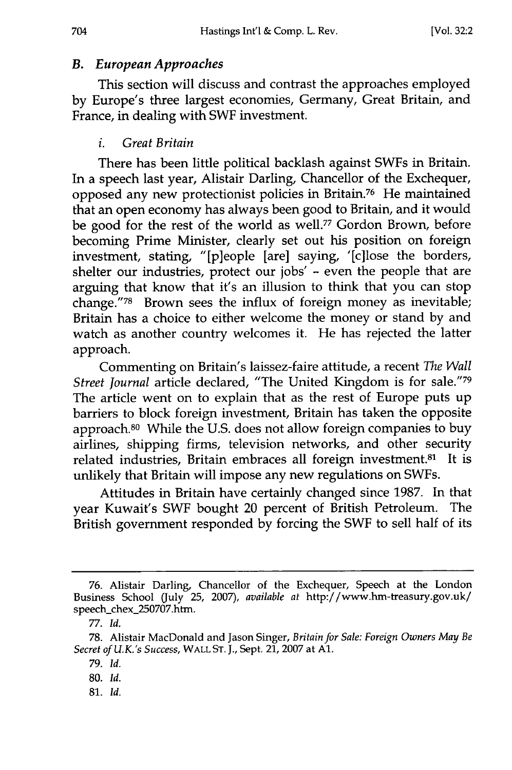# *B. European Approaches*

This section will discuss and contrast the approaches employed **by** Europe's three largest economies, Germany, Great Britain, and France, in dealing with SWF investment.

# *i. Great Britain*

There has been little political backlash against SWFs in Britain. In a speech last year, Alistair Darling, Chancellor of the Exchequer, opposed any new protectionist policies in Britain.76 He maintained that an open economy has always been good to Britain, and it would be good for the rest of the world as well.77 Gordon Brown, before becoming Prime Minister, clearly set out his position on foreign investment, stating, "[p]eople [are] saying, '[c]lose the borders, shelter our industries, protect our jobs' **-** even the people that are arguing that know that it's an illusion to think that you can stop change."<sup>78</sup> Brown sees the influx of foreign money as inevitable; Britain has a choice to either welcome the money or stand by and watch as another country welcomes it. He has rejected the latter approach.

Commenting on Britain's laissez-faire attitude, a recent *The Wall Street Journal* article declared, "The United Kingdom is for sale."<sup>79</sup> The article went on to explain that as the rest of Europe puts up barriers to block foreign investment, Britain has taken the opposite approach.80 While the U.S. does not allow foreign companies to buy airlines, shipping firms, television networks, and other security related industries, Britain embraces all foreign investment.81 It is unlikely that Britain will impose any new regulations on SWFs.

Attitudes in Britain have certainly changed since 1987. In that year Kuwait's SWF bought 20 percent of British Petroleum. The British government responded by forcing the SWF to sell half of its

**81.** *Id.*

<sup>76.</sup> Alistair Darling, Chancellor of the Exchequer, Speech at the London Business School (July 25, 2007), *available at* http://www.hm-treasury.gov.uk/ speech\_chex\_250707.htm.

<sup>77.</sup> *Id.*

<sup>78.</sup> Alistair MacDonald and Jason Singer, *Britain for Sale: Foreign Owners May Be Secret of U.K.'s Success,* WALL **ST. J.,** Sept. 21, 2007 at **Al.**

<sup>79.</sup> *Id.*

**<sup>80.</sup>** *Id.*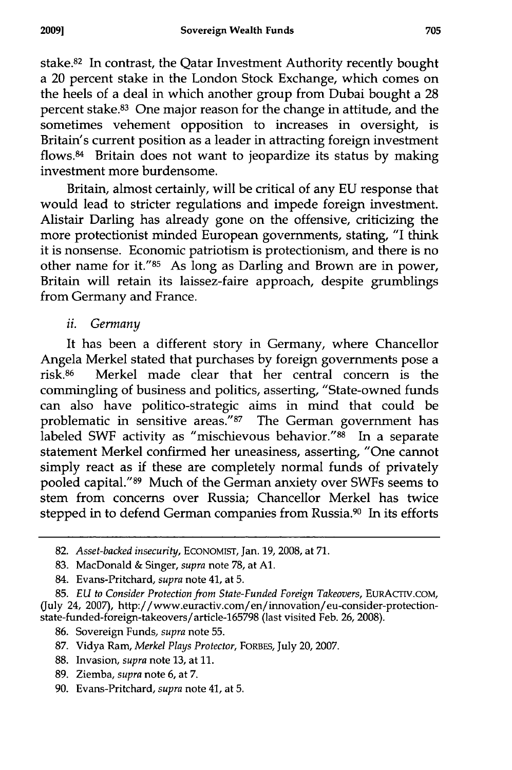stake.<sup>82</sup> In contrast, the Qatar Investment Authority recently bought a 20 percent stake in the London Stock Exchange, which comes on the heels of a deal in which another group from Dubai bought a 28 percent stake.83 One major reason for the change in attitude, and the sometimes vehement opposition to increases in oversight, is Britain's current position as a leader in attracting foreign investment flows.84 Britain does not want to jeopardize its status by making investment more burdensome.

Britain, almost certainly, will be critical of any EU response that would lead to stricter regulations and impede foreign investment. Alistair Darling has already gone on the offensive, criticizing the more protectionist minded European governments, stating, "I think it is nonsense. Economic patriotism is protectionism, and there is no other name for it."85 As long as Darling and Brown are in power, Britain will retain its laissez-faire approach, despite grumblings from Germany and France.

# *ii. Germany*

It has been a different story in Germany, where Chancellor Angela Merkel stated that purchases by foreign governments pose a risk.<sup>86</sup> Merkel made clear that her central concern is the commingling of business and politics, asserting, "State-owned funds can also have politico-strategic aims in mind that could be problematic in sensitive areas.<sup>"87</sup> The German government has labeled SWF activity as "mischievous behavior." $88$  In a separate statement Merkel confirmed her uneasiness, asserting, "One cannot simply react as if these are completely normal funds of privately pooled capital." 89 Much of the German anxiety over SWFs seems to stem from concerns over Russia; Chancellor Merkel has twice stepped in to defend German companies from Russia.<sup>90</sup> In its efforts

<sup>82.</sup> *Asset-backed insecurity,* **ECONOMIST,** Jan. **19, 2008,** at **71.**

<sup>83.</sup> MacDonald & Singer, *supra* note 78, at **Al.**

<sup>84.</sup> Evans-Pritchard, *supra* note 41, at 5.

<sup>85.</sup> *EU to Consider Protection from State-Funded Foreign Takeovers,* EURACTIV.COM, (July 24, 2007), http://www.euractiv.com/en/innovation/eu-consider-protectionstate-funded-foreign-takeovers/article-165798 (last visited Feb. 26, 2008).

<sup>86.</sup> Sovereign Funds, *supra* note 55.

<sup>87.</sup> Vidya Ram, *Merkel Plays Protector,* FORBES, July 20, 2007.

<sup>88.</sup> Invasion, *supra* note 13, at 11.

<sup>89.</sup> Ziemba, *supra* note 6, at 7.

<sup>90.</sup> Evans-Pritchard, *supra* note 41, at 5.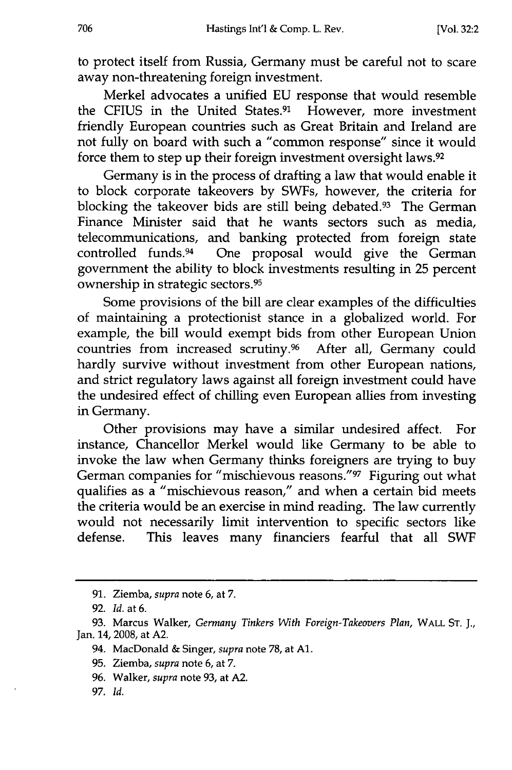to protect itself from Russia, Germany must be careful not to scare away non-threatening foreign investment.

Merkel advocates a unified EU response that would resemble the CFIUS in the United States.91 However, more investment friendly European countries such as Great Britain and Ireland are not fully on board with such a "common response" since it would force them to step up their foreign investment oversight laws.<sup>92</sup>

Germany is in the process of drafting a law that would enable it to block corporate takeovers by SWFs, however, the criteria for blocking the takeover bids are still being debated.<sup>93</sup> The German Finance Minister said that he wants sectors such as media, telecommunications, and banking protected from foreign state controlled funds.94 One proposal would give the German government the ability to block investments resulting in 25 percent ownership in strategic sectors. <sup>95</sup>

Some provisions of the bill are clear examples of the difficulties of maintaining a protectionist stance in a globalized world. For example, the bill would exempt bids from other European Union countries from increased scrutiny.96 After all, Germany could hardly survive without investment from other European nations, and strict regulatory laws against all foreign investment could have the undesired effect of chilling even European allies from investing in Germany.

Other provisions may have a similar undesired affect. For instance, Chancellor Merkel would like Germany to be able to invoke the law when Germany thinks foreigners are trying to buy German companies for "mischievous reasons."97 Figuring out what qualifies as a "mischievous reason," and when a certain bid meets the criteria would be an exercise in mind reading. The law currently would not necessarily limit intervention to specific sectors like defense. This leaves many financiers fearful that all SWF

- 96. Walker, *supra* note **93,** at A2.
- 97. *Id.*

<sup>91.</sup> Ziemba, *supra* note 6, at 7.

<sup>92.</sup> *Id.* at 6.

<sup>93.</sup> Marcus Walker, *Germany Tinkers With Foreign-Takeovers Plan,* WALL **ST. J.,** Jan. 14, 2008, at A2.

<sup>94.</sup> MacDonald & Singer, *supra* note **78,** at **Al.**

<sup>95.</sup> Ziemba, *supra* note 6, at 7.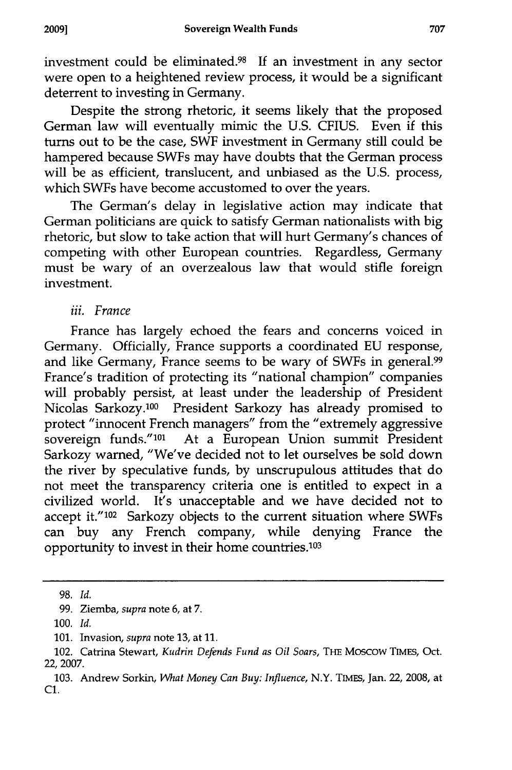investment could be eliminated.98 **If** an investment in any sector were open to a heightened review process, it would be a significant deterrent to investing in Germany.

Despite the strong rhetoric, it seems likely that the proposed German law will eventually mimic the **U.S. CFIUS.** Even if this turns out to be the case, SWF investment in Germany still could be hampered because SWFs may have doubts that the German process will be as efficient, translucent, and unbiased as the **U.S.** process, which SWFs have become accustomed to over the years.

The German's delay in legislative action may indicate that German politicians are quick to satisfy German nationalists with big rhetoric, but slow to take action that will hurt Germany's chances of competing with other European countries. Regardless, Germany must be wary of an overzealous law that would stifle foreign investment.

# *iii. France*

France has largely echoed the fears and concerns voiced in Germany. Officially, France supports a coordinated **EU** response, and like Germany, France seems to be wary of SWFs in general.<sup>99</sup> France's tradition of protecting its "national champion" companies will probably persist, at least under the leadership of President Nicolas Sarkozy. 100 President Sarkozy has already promised to protect "innocent French managers" from the "extremely aggressive sovereign funds."101 At a European Union summit President Sarkozy warned, "We've decided not to let ourselves be sold down the river **by** speculative funds, **by** unscrupulous attitudes that do not meet the transparency criteria one is entitled to expect in a civilized world. It's unacceptable and we have decided not to accept **it."102** Sarkozy objects to the current situation where SWFs can buy any French company, while denying France the opportunity to invest in their home countries.<sup>103</sup>

**<sup>98.</sup>** *Id.*

<sup>99.</sup> Ziemba, *supra* note **6,** at 7.

**<sup>100.</sup>** *Id.*

**<sup>101.</sup>** Invasion, *supra* note **13,** at **11.**

<sup>102.</sup> Catrina Stewart, *Kudrin Defends Fund as Oil Soars,* **THE** Moscow **TIMES,** Oct. **22, 2007.**

**<sup>103.</sup>** Andrew Sorkin, *What Money Can Buy: Influence,* N.Y. **TIMES,** Jan. 22, **2008,** at **C1.**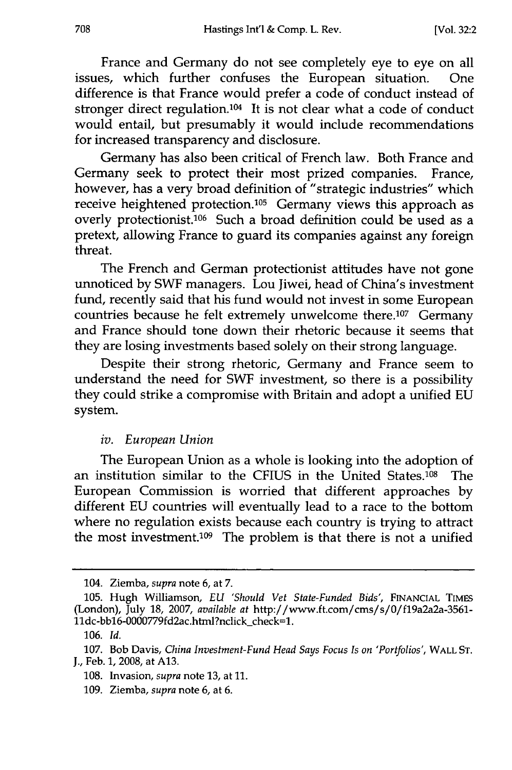France and Germany do not see completely eye to eye on all issues, which further confuses the European situation. One difference is that France would prefer a code of conduct instead of stronger direct regulation.104 It is not clear what a code of conduct would entail, but presumably it would include recommendations for increased transparency and disclosure.

Germany has also been critical of French law. Both France and Germany seek to protect their most prized companies. France, however, has a very broad definition of "strategic industries" which receive heightened protection.<sup>105</sup> Germany views this approach as overly protectionist.106 Such a broad definition could be used as a pretext, allowing France to guard its companies against any foreign threat.

The French and German protectionist attitudes have not gone unnoticed by SWF managers. Lou Jiwei, head of China's investment fund, recently said that his fund would not invest in some European countries because he felt extremely unwelcome there.107 Germany and France should tone down their rhetoric because it seems that they are losing investments based solely on their strong language.

Despite their strong rhetoric, Germany and France seem to understand the need for SWF investment, so there is a possibility they could strike a compromise with Britain and adopt a unified EU system.

#### *iv. European Union*

The European Union as a whole is looking into the adoption of an institution similar to the CFIUS in the United States.<sup>108</sup> The European Commission is worried that different approaches by different EU countries will eventually lead to a race to the bottom where no regulation exists because each country is trying to attract the most investment.109 The problem is that there is not a unified

<sup>104.</sup> Ziemba, *supra* note 6, at 7.

<sup>105.</sup> Hugh Williamson, *EU 'Should Vet State-Funded Bids',* FINANCIAL TIMES (London), July 18, 2007, *available at* http://www.ft.com/cms/s/O/fl9a2a2a-3561- 11dc-bb16-0000779fd2ac.html?nclick\_check=1.

<sup>106.</sup> *Id.*

<sup>107.</sup> Bob Davis, *China Investment-Fund Head Says Focus Is on 'Portfolios',* WALL **ST.** J., Feb. 1, 2008, at A13.

<sup>108.</sup> Invasion, *supra* note 13, at 11.

<sup>109.</sup> Ziemba, *supra* note 6, at 6.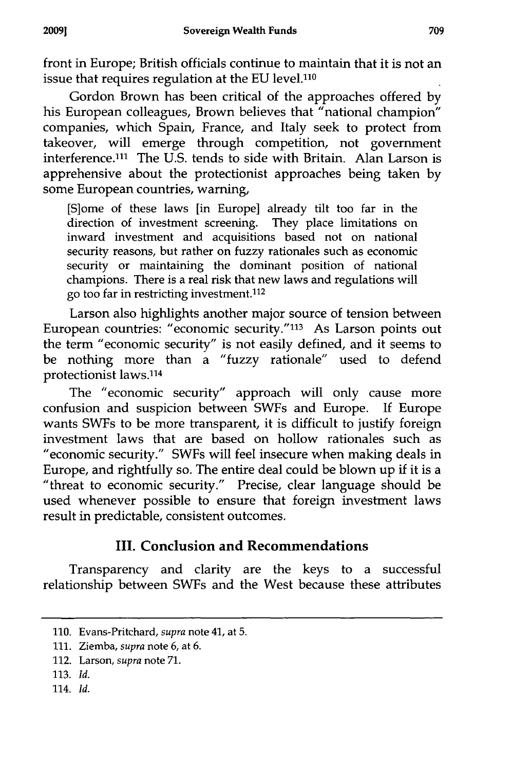front in Europe; British officials continue to maintain that it is not an issue that requires regulation at the EU level.<sup>110</sup>

Gordon Brown has been critical of the approaches offered by his European colleagues, Brown believes that "national champion" companies, which Spain, France, and Italy seek to protect from takeover, will emerge through competition, not government interference.<sup>111</sup> The U.S. tends to side with Britain. Alan Larson is apprehensive about the protectionist approaches being taken by some European countries, warning,

[Slome of these laws [in Europe] already tilt too far in the direction of investment screening. They place limitations on inward investment and acquisitions based not on national security reasons, but rather on fuzzy rationales such as economic security or maintaining the dominant position of national champions. There is a real risk that new laws and regulations will go too far in restricting investment.112

Larson also highlights another major source of tension between European countries: "economic security." 113 As Larson points out the term "economic security" is not easily defined, and it seems to be nothing more than a "fuzzy rationale" used to defend protectionist laws.<sup>114</sup>

The "economic security" approach will only cause more confusion and suspicion between SWFs and Europe. If Europe wants SWFs to be more transparent, it is difficult to justify foreign investment laws that are based on hollow rationales such as "economic security." SWFs will feel insecure when making deals in Europe, and rightfully so. The entire deal could be blown up if it is a "threat to economic security." Precise, clear language should be used whenever possible to ensure that foreign investment laws result in predictable, consistent outcomes.

# **III. Conclusion and Recommendations**

Transparency and clarity are the keys to a successful relationship between SWFs and the West because these attributes

114. *Id.*

**<sup>110.</sup>** Evans-Pritchard, *supra* note 41, at 5.

**<sup>111.</sup>** Ziemba, *supra* note 6, at 6.

<sup>112.</sup> Larson, *supra* note 71.

<sup>113.</sup> *Id.*